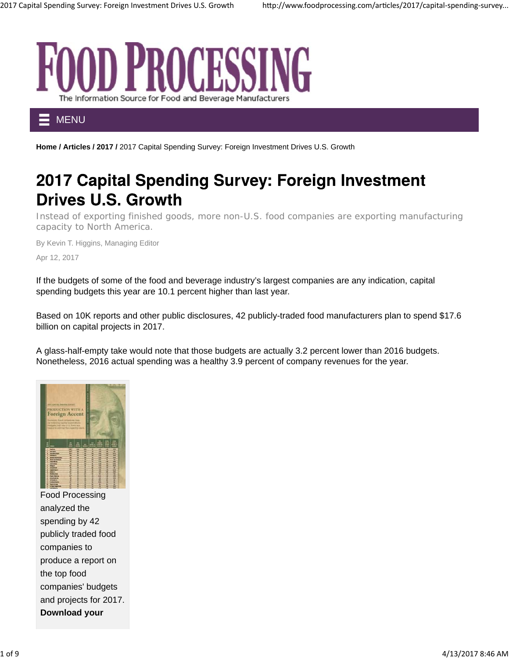

MENU

Home / Articles / 2017 / 2017 Capital Spending Survey: Foreign Investment Drives U.S. Growth

# 2017 Capital Spending Survey: Foreign Investment **Drives U.S. Growth**

Instead of exporting finished goods, more non-U.S. food companies are exporting manufacturing capacity to North America.

By Kevin T. Higgins, Managing Editor Apr 12, 2017

If the budgets of some of the food and beverage industry's largest companies are any indication, capital spending budgets this year are 10.1 percent higher than last year.

Based on 10K reports and other public disclosures, 42 publicly-traded food manufacturers plan to spend \$17.6 billion on capital projects in 2017.

A glass-half-empty take would note that those budgets are actually 3.2 percent lower than 2016 budgets. Nonetheless, 2016 actual spending was a healthy 3.9 percent of company revenues for the year.



Food Processing analyzed the spending by 42 publicly traded food companies to produce a report on the top food companies' budgets and projects for 2017. **Download your**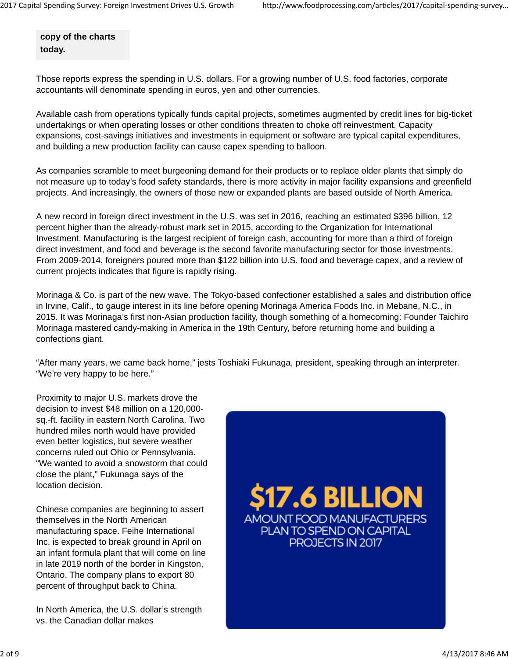**copy of the charts today.**

Those reports express the spending in U.S. dollars. For a growing number of U.S. food factories, corporate accountants will denominate spending in euros, yen and other currencies.

Available cash from operations typically funds capital projects, sometimes augmented by credit lines for big-ticket undertakings or when operating losses or other conditions threaten to choke off reinvestment. Capacity expansions, cost-savings initiatives and investments in equipment or software are typical capital expenditures, and building a new production facility can cause capex spending to balloon.

As companies scramble to meet burgeoning demand for their products or to replace older plants that simply do not measure up to today's food safety standards, there is more activity in major facility expansions and greenfield projects. And increasingly, the owners of those new or expanded plants are based outside of North America.

A new record in foreign direct investment in the U.S. was set in 2016, reaching an estimated \$396 billion, 12 percent higher than the already-robust mark set in 2015, according to the Organization for International Investment. Manufacturing is the largest recipient of foreign cash, accounting for more than a third of foreign direct investment, and food and beverage is the second favorite manufacturing sector for those investments. From 2009-2014, foreigners poured more than \$122 billion into U.S. food and beverage capex, and a review of current projects indicates that figure is rapidly rising.

Morinaga & Co. is part of the new wave. The Tokyo-based confectioner established a sales and distribution office in Irvine, Calif., to gauge interest in its line before opening Morinaga America Foods Inc. in Mebane, N.C., in 2015. It was Morinaga's first non-Asian production facility, though something of a homecoming: Founder Taichiro Morinaga mastered candy-making in America in the 19th Century, before returning home and building a confections giant.

"After many years, we came back home," jests Toshiaki Fukunaga, president, speaking through an interpreter. "We're very happy to be here."

Proximity to major U.S. markets drove the decision to invest \$48 million on a 120,000 sq.-ft. facility in eastern North Carolina. Two hundred miles north would have provided even better logistics, but severe weather concerns ruled out Ohio or Pennsylvania. "We wanted to avoid a snowstorm that could close the plant," Fukunaga says of the location decision.

Chinese companies are beginning to assert themselves in the North American manufacturing space. Feihe International Inc. is expected to break ground in April on an infant formula plant that will come on line in late 2019 north of the border in Kingston, Ontario. The company plans to export 80 percent of throughput back to China.

In North America, the U.S. dollar's strength vs. the Canadian dollar makes

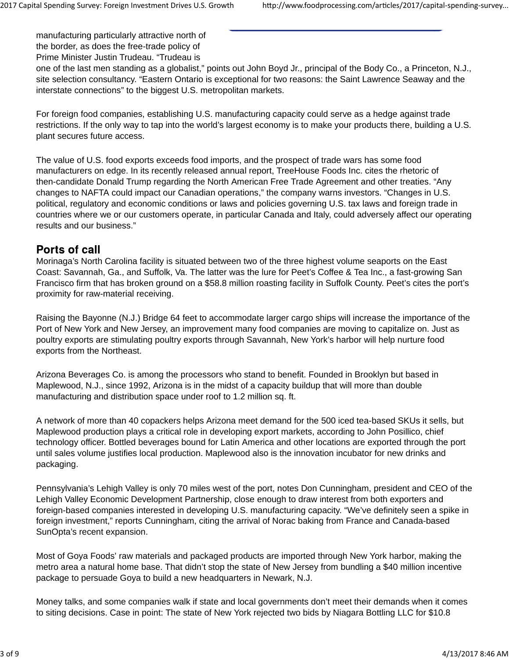manufacturing particularly attractive north of the border, as does the free-trade policy of

Prime Minister Justin Trudeau. "Trudeau is

one of the last men standing as a globalist," points out John Boyd Jr., principal of the Body Co., a Princeton, N.J., site selection consultancy. "Eastern Ontario is exceptional for two reasons: the Saint Lawrence Seaway and the interstate connections" to the biggest U.S. metropolitan markets.

For foreign food companies, establishing U.S. manufacturing capacity could serve as a hedge against trade restrictions. If the only way to tap into the world's largest economy is to make your products there, building a U.S. plant secures future access.

The value of U.S. food exports exceeds food imports, and the prospect of trade wars has some food manufacturers on edge. In its recently released annual report, TreeHouse Foods Inc. cites the rhetoric of then-candidate Donald Trump regarding the North American Free Trade Agreement and other treaties. "Any changes to NAFTA could impact our Canadian operations," the company warns investors. "Changes in U.S. political, regulatory and economic conditions or laws and policies governing U.S. tax laws and foreign trade in countries where we or our customers operate, in particular Canada and Italy, could adversely affect our operating results and our business."

#### **Ports of call**

Morinaga's North Carolina facility is situated between two of the three highest volume seaports on the East Coast: Savannah, Ga., and Suffolk, Va. The latter was the lure for Peet's Coffee & Tea Inc., a fast-growing San Francisco firm that has broken ground on a \$58.8 million roasting facility in Suffolk County. Peet's cites the port's proximity for raw-material receiving.

Raising the Bayonne (N.J.) Bridge 64 feet to accommodate larger cargo ships will increase the importance of the Port of New York and New Jersey, an improvement many food companies are moving to capitalize on. Just as poultry exports are stimulating poultry exports through Savannah, New York's harbor will help nurture food exports from the Northeast.

Arizona Beverages Co. is among the processors who stand to benefit. Founded in Brooklyn but based in Maplewood, N.J., since 1992, Arizona is in the midst of a capacity buildup that will more than double manufacturing and distribution space under roof to 1.2 million sq. ft.

A network of more than 40 copackers helps Arizona meet demand for the 500 iced tea-based SKUs it sells, but Maplewood production plays a critical role in developing export markets, according to John Posillico, chief technology officer. Bottled beverages bound for Latin America and other locations are exported through the port until sales volume justifies local production. Maplewood also is the innovation incubator for new drinks and packaging.

Pennsylvania's Lehigh Valley is only 70 miles west of the port, notes Don Cunningham, president and CEO of the Lehigh Valley Economic Development Partnership, close enough to draw interest from both exporters and foreign-based companies interested in developing U.S. manufacturing capacity. "We've definitely seen a spike in foreign investment," reports Cunningham, citing the arrival of Norac baking from France and Canada-based SunOpta's recent expansion.

Most of Goya Foods' raw materials and packaged products are imported through New York harbor, making the metro area a natural home base. That didn't stop the state of New Jersey from bundling a \$40 million incentive package to persuade Goya to build a new headquarters in Newark, N.J.

Money talks, and some companies walk if state and local governments don't meet their demands when it comes to siting decisions. Case in point: The state of New York rejected two bids by Niagara Bottling LLC for \$10.8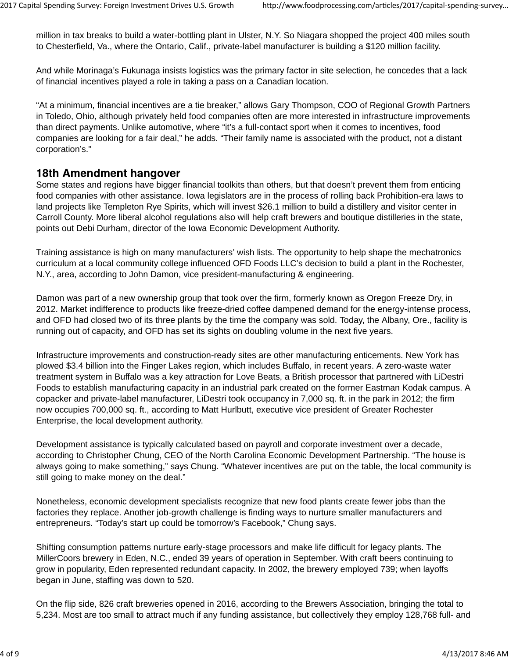million in tax breaks to build a water-bottling plant in Ulster, N.Y. So Niagara shopped the project 400 miles south to Chesterfield, Va., where the Ontario, Calif., private-label manufacturer is building a \$120 million facility.

And while Morinaga's Fukunaga insists logistics was the primary factor in site selection, he concedes that a lack of financial incentives played a role in taking a pass on a Canadian location.

"At a minimum, financial incentives are a tie breaker," allows Gary Thompson, COO of Regional Growth Partners in Toledo, Ohio, although privately held food companies often are more interested in infrastructure improvements than direct payments. Unlike automotive, where "it's a full-contact sport when it comes to incentives, food companies are looking for a fair deal," he adds. "Their family name is associated with the product, not a distant corporation's."

### 18th Amendment hangover

Some states and regions have bigger financial toolkits than others, but that doesn't prevent them from enticing food companies with other assistance. Iowa legislators are in the process of rolling back Prohibition-era laws to land projects like Templeton Rye Spirits, which will invest \$26.1 million to build a distillery and visitor center in Carroll County. More liberal alcohol regulations also will help craft brewers and boutique distilleries in the state, points out Debi Durham, director of the Iowa Economic Development Authority.

Training assistance is high on many manufacturers' wish lists. The opportunity to help shape the mechatronics curriculum at a local community college influenced OFD Foods LLC's decision to build a plant in the Rochester, N.Y., area, according to John Damon, vice president-manufacturing & engineering.

Damon was part of a new ownership group that took over the firm, formerly known as Oregon Freeze Dry, in 2012. Market indifference to products like freeze-dried coffee dampened demand for the energy-intense process, and OFD had closed two of its three plants by the time the company was sold. Today, the Albany, Ore., facility is running out of capacity, and OFD has set its sights on doubling volume in the next five years.

Infrastructure improvements and construction-ready sites are other manufacturing enticements. New York has plowed \$3.4 billion into the Finger Lakes region, which includes Buffalo, in recent years. A zero-waste water treatment system in Buffalo was a key attraction for Love Beats, a British processor that partnered with LiDestri Foods to establish manufacturing capacity in an industrial park created on the former Eastman Kodak campus. A copacker and private-label manufacturer, LiDestri took occupancy in 7,000 sq. ft. in the park in 2012; the firm now occupies 700,000 sq. ft., according to Matt Hurlbutt, executive vice president of Greater Rochester Enterprise, the local development authority.

Development assistance is typically calculated based on payroll and corporate investment over a decade, according to Christopher Chung, CEO of the North Carolina Economic Development Partnership. "The house is always going to make something," says Chung. "Whatever incentives are put on the table, the local community is still going to make money on the deal."

Nonetheless, economic development specialists recognize that new food plants create fewer jobs than the factories they replace. Another job-growth challenge is finding ways to nurture smaller manufacturers and entrepreneurs. "Today's start up could be tomorrow's Facebook," Chung says.

Shifting consumption patterns nurture early-stage processors and make life difficult for legacy plants. The MillerCoors brewery in Eden, N.C., ended 39 years of operation in September. With craft beers continuing to grow in popularity, Eden represented redundant capacity. In 2002, the brewery employed 739; when layoffs began in June, staffing was down to 520.

On the flip side, 826 craft breweries opened in 2016, according to the Brewers Association, bringing the total to 5,234. Most are too small to attract much if any funding assistance, but collectively they employ 128,768 full- and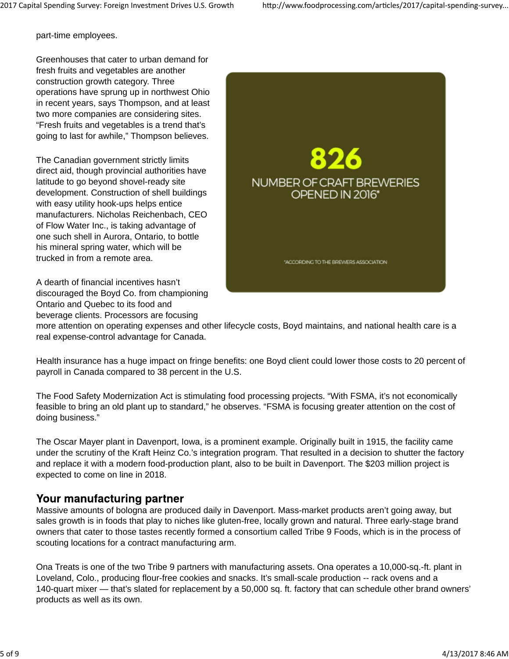part-time employees.

Greenhouses that cater to urban demand for fresh fruits and vegetables are another construction growth category. Three operations have sprung up in northwest Ohio in recent years, says Thompson, and at least two more companies are considering sites. "Fresh fruits and vegetables is a trend that's going to last for awhile," Thompson believes.

The Canadian government strictly limits direct aid, though provincial authorities have latitude to go beyond shovel-ready site development. Construction of shell buildings with easy utility hook-ups helps entice manufacturers. Nicholas Reichenbach, CEO of Flow Water Inc., is taking advantage of one such shell in Aurora, Ontario, to bottle his mineral spring water, which will be trucked in from a remote area.

A dearth of financial incentives hasn't discouraged the Boyd Co. from championing Ontario and Quebec to its food and beverage clients. Processors are focusing



more attention on operating expenses and other lifecycle costs, Boyd maintains, and national health care is a real expense-control advantage for Canada.

Health insurance has a huge impact on fringe benefits: one Boyd client could lower those costs to 20 percent of payroll in Canada compared to 38 percent in the U.S.

The Food Safety Modernization Act is stimulating food processing projects. "With FSMA, it's not economically feasible to bring an old plant up to standard," he observes. "FSMA is focusing greater attention on the cost of doing business."

The Oscar Mayer plant in Davenport, Iowa, is a prominent example. Originally built in 1915, the facility came under the scrutiny of the Kraft Heinz Co.'s integration program. That resulted in a decision to shutter the factory and replace it with a modern food-production plant, also to be built in Davenport. The \$203 million project is expected to come on line in 2018.

### Your manufacturing partner

Massive amounts of bologna are produced daily in Davenport. Mass-market products aren't going away, but sales growth is in foods that play to niches like gluten-free, locally grown and natural. Three early-stage brand owners that cater to those tastes recently formed a consortium called Tribe 9 Foods, which is in the process of scouting locations for a contract manufacturing arm.

Ona Treats is one of the two Tribe 9 partners with manufacturing assets. Ona operates a 10,000-sq.-ft. plant in Loveland, Colo., producing flour-free cookies and snacks. It's small-scale production -- rack ovens and a 140-quart mixer — that's slated for replacement by a 50,000 sq. ft. factory that can schedule other brand owners' products as well as its own.